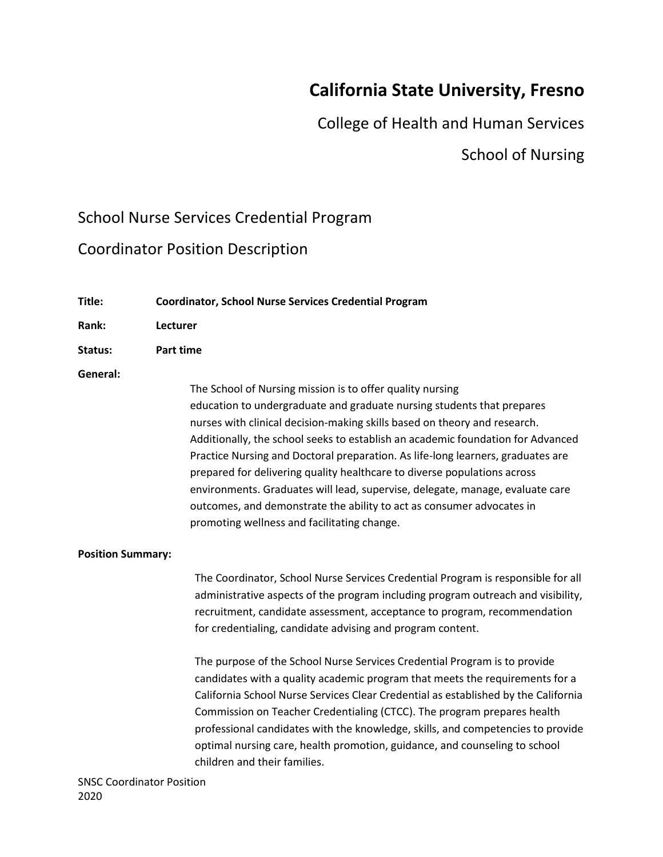# **California State University, Fresno**

College of Health and Human Services

# School of Nursing

# School Nurse Services Credential Program

# Coordinator Position Description

| Title:                           | <b>Coordinator, School Nurse Services Credential Program</b>                                                                                                                                                                                                                                                                                                                                                                                                                                                                                                                                                                                                                |
|----------------------------------|-----------------------------------------------------------------------------------------------------------------------------------------------------------------------------------------------------------------------------------------------------------------------------------------------------------------------------------------------------------------------------------------------------------------------------------------------------------------------------------------------------------------------------------------------------------------------------------------------------------------------------------------------------------------------------|
| Rank:                            | Lecturer                                                                                                                                                                                                                                                                                                                                                                                                                                                                                                                                                                                                                                                                    |
| Status:                          | <b>Part time</b>                                                                                                                                                                                                                                                                                                                                                                                                                                                                                                                                                                                                                                                            |
| General:                         | The School of Nursing mission is to offer quality nursing<br>education to undergraduate and graduate nursing students that prepares<br>nurses with clinical decision-making skills based on theory and research.<br>Additionally, the school seeks to establish an academic foundation for Advanced<br>Practice Nursing and Doctoral preparation. As life-long learners, graduates are<br>prepared for delivering quality healthcare to diverse populations across<br>environments. Graduates will lead, supervise, delegate, manage, evaluate care<br>outcomes, and demonstrate the ability to act as consumer advocates in<br>promoting wellness and facilitating change. |
| <b>Position Summary:</b>         |                                                                                                                                                                                                                                                                                                                                                                                                                                                                                                                                                                                                                                                                             |
|                                  | The Coordinator, School Nurse Services Credential Program is responsible for all<br>administrative aspects of the program including program outreach and visibility,<br>recruitment, candidate assessment, acceptance to program, recommendation<br>for credentialing, candidate advising and program content.                                                                                                                                                                                                                                                                                                                                                              |
|                                  | The purpose of the School Nurse Services Credential Program is to provide<br>candidates with a quality academic program that meets the requirements for a<br>California School Nurse Services Clear Credential as established by the California<br>Commission on Teacher Credentialing (CTCC). The program prepares health<br>professional candidates with the knowledge, skills, and competencies to provide<br>optimal nursing care, health promotion, guidance, and counseling to school<br>children and their families.                                                                                                                                                 |
| <b>SNSC Coordinator Position</b> |                                                                                                                                                                                                                                                                                                                                                                                                                                                                                                                                                                                                                                                                             |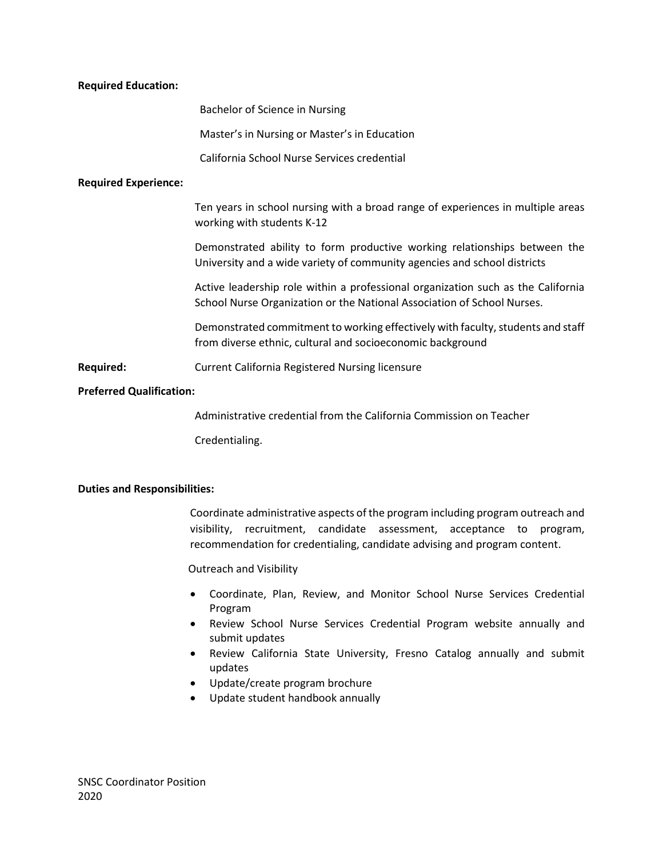#### **Required Education:**

Bachelor of Science in Nursing

Master's in Nursing or Master's in Education

California School Nurse Services credential

#### **Required Experience:**

Ten years in school nursing with a broad range of experiences in multiple areas working with students K-12

Demonstrated ability to form productive working relationships between the University and a wide variety of community agencies and school districts

Active leadership role within a professional organization such as the California School Nurse Organization or the National Association of School Nurses.

Demonstrated commitment to working effectively with faculty, students and staff from diverse ethnic, cultural and socioeconomic background

**Required:** Current California Registered Nursing licensure

#### **Preferred Qualification:**

Administrative credential from the California Commission on Teacher

Credentialing.

#### **Duties and Responsibilities:**

Coordinate administrative aspects of the program including program outreach and visibility, recruitment, candidate assessment, acceptance to program, recommendation for credentialing, candidate advising and program content.

Outreach and Visibility

- Coordinate, Plan, Review, and Monitor School Nurse Services Credential Program
- Review School Nurse Services Credential Program website annually and submit updates
- Review California State University, Fresno Catalog annually and submit updates
- Update/create program brochure
- Update student handbook annually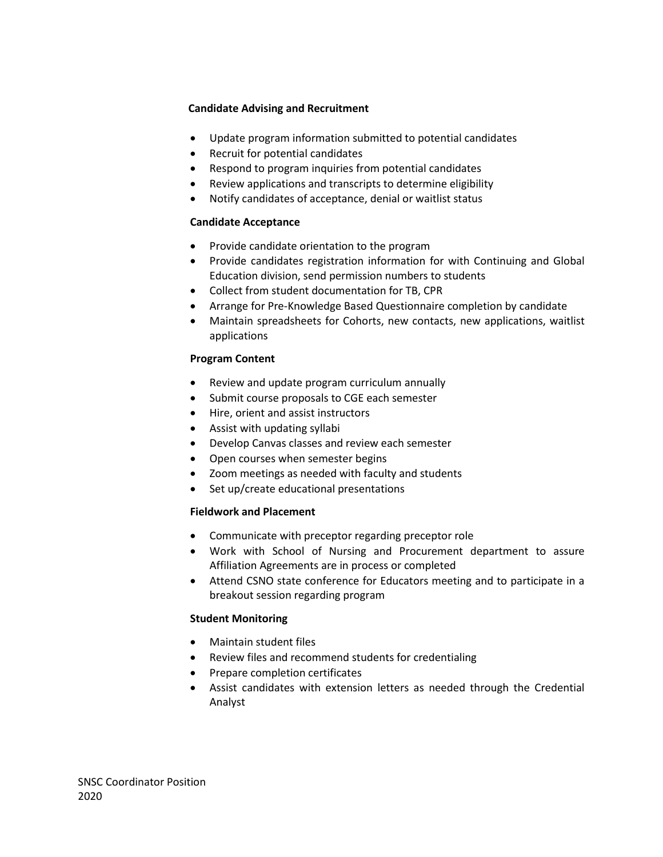## **Candidate Advising and Recruitment**

- Update program information submitted to potential candidates
- Recruit for potential candidates
- Respond to program inquiries from potential candidates
- Review applications and transcripts to determine eligibility
- Notify candidates of acceptance, denial or waitlist status

# **Candidate Acceptance**

- Provide candidate orientation to the program
- Provide candidates registration information for with Continuing and Global Education division, send permission numbers to students
- Collect from student documentation for TB, CPR
- Arrange for Pre-Knowledge Based Questionnaire completion by candidate
- Maintain spreadsheets for Cohorts, new contacts, new applications, waitlist applications

### **Program Content**

- Review and update program curriculum annually
- Submit course proposals to CGE each semester
- Hire, orient and assist instructors
- Assist with updating syllabi
- Develop Canvas classes and review each semester
- Open courses when semester begins
- Zoom meetings as needed with faculty and students
- Set up/create educational presentations

### **Fieldwork and Placement**

- Communicate with preceptor regarding preceptor role
- Work with School of Nursing and Procurement department to assure Affiliation Agreements are in process or completed
- Attend CSNO state conference for Educators meeting and to participate in a breakout session regarding program

### **Student Monitoring**

- Maintain student files
- Review files and recommend students for credentialing
- Prepare completion certificates
- Assist candidates with extension letters as needed through the Credential Analyst